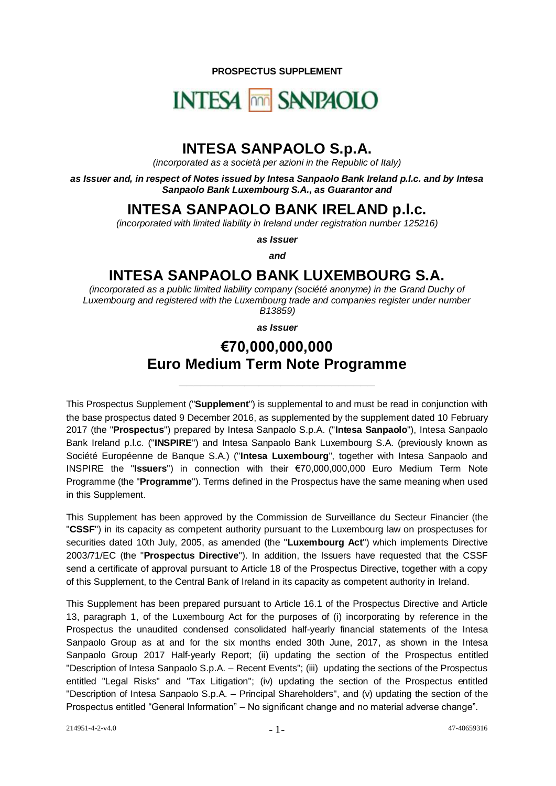**PROSPECTUS SUPPLEMENT**

# **INTESA MM SANPAOLO**

# **INTESA SANPAOLO S.p.A.**

*(incorporated as a società per azioni in the Republic of Italy)*

*as Issuer and, in respect of Notes issued by Intesa Sanpaolo Bank Ireland p.l.c. and by Intesa Sanpaolo Bank Luxembourg S.A., as Guarantor and*

# **INTESA SANPAOLO BANK IRELAND p.l.c.**

*(incorporated with limited liability in Ireland under registration number 125216)*

*as Issuer*

*and*

# **INTESA SANPAOLO BANK LUXEMBOURG S.A.**

*(incorporated as a public limited liability company (société anonyme) in the Grand Duchy of Luxembourg and registered with the Luxembourg trade and companies register under number B13859)*

*as Issuer*

# **€70,000,000,000 Euro Medium Term Note Programme**

**\_\_\_\_\_\_\_\_\_\_\_\_\_\_\_\_\_\_\_\_\_\_\_\_\_\_\_**

This Prospectus Supplement ("**Supplement**") is supplemental to and must be read in conjunction with the base prospectus dated 9 December 2016, as supplemented by the supplement dated 10 February 2017 (the "**Prospectus**") prepared by Intesa Sanpaolo S.p.A. ("**Intesa Sanpaolo**"), Intesa Sanpaolo Bank Ireland p.l.c. ("**INSPIRE**") and Intesa Sanpaolo Bank Luxembourg S.A. (previously known as Société Européenne de Banque S.A.) ("**Intesa Luxembourg**", together with Intesa Sanpaolo and INSPIRE the "**Issuers**") in connection with their €70,000,000,000 Euro Medium Term Note Programme (the "**Programme**"). Terms defined in the Prospectus have the same meaning when used in this Supplement.

This Supplement has been approved by the Commission de Surveillance du Secteur Financier (the "**CSSF**") in its capacity as competent authority pursuant to the Luxembourg law on prospectuses for securities dated 10th July, 2005, as amended (the "**Luxembourg Act**") which implements Directive 2003/71/EC (the "**Prospectus Directive**"). In addition, the Issuers have requested that the CSSF send a certificate of approval pursuant to Article 18 of the Prospectus Directive, together with a copy of this Supplement, to the Central Bank of Ireland in its capacity as competent authority in Ireland.

This Supplement has been prepared pursuant to Article 16.1 of the Prospectus Directive and Article 13, paragraph 1, of the Luxembourg Act for the purposes of (i) incorporating by reference in the Prospectus the unaudited condensed consolidated half-yearly financial statements of the Intesa Sanpaolo Group as at and for the six months ended 30th June, 2017, as shown in the Intesa Sanpaolo Group 2017 Half-yearly Report; (ii) updating the section of the Prospectus entitled "Description of Intesa Sanpaolo S.p.A. – Recent Events"; (iii) updating the sections of the Prospectus entitled "Legal Risks" and "Tax Litigation"; (iv) updating the section of the Prospectus entitled "Description of Intesa Sanpaolo S.p.A. – Principal Shareholders", and (v) updating the section of the Prospectus entitled "General Information" – No significant change and no material adverse change".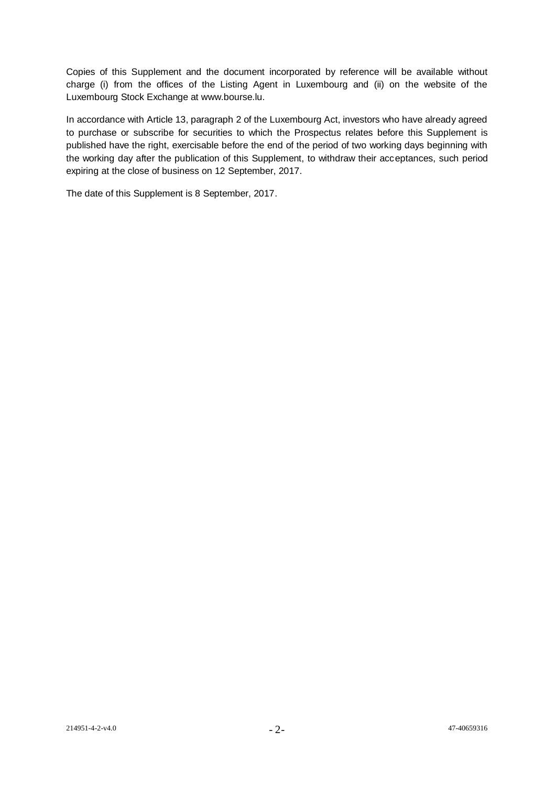Copies of this Supplement and the document incorporated by reference will be available without charge (i) from the offices of the Listing Agent in Luxembourg and (ii) on the website of the Luxembourg Stock Exchange at www.bourse.lu.

In accordance with Article 13, paragraph 2 of the Luxembourg Act, investors who have already agreed to purchase or subscribe for securities to which the Prospectus relates before this Supplement is published have the right, exercisable before the end of the period of two working days beginning with the working day after the publication of this Supplement, to withdraw their acceptances, such period expiring at the close of business on 12 September, 2017.

The date of this Supplement is 8 September, 2017.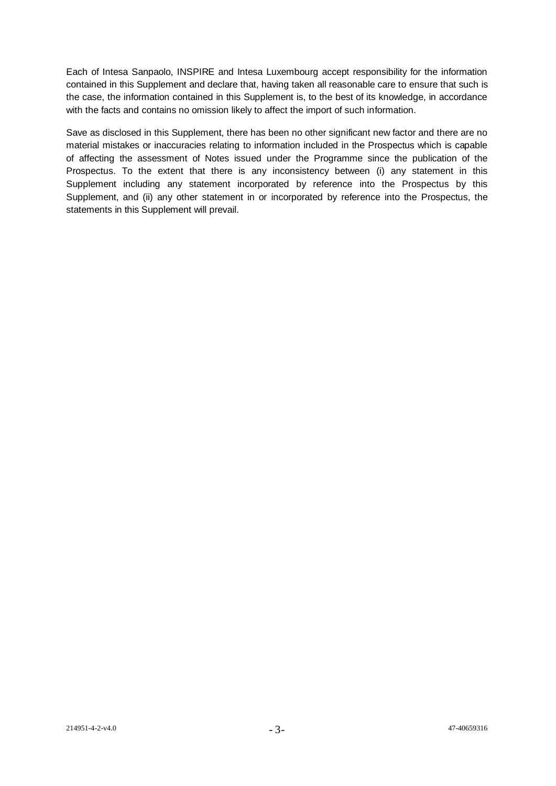Each of Intesa Sanpaolo, INSPIRE and Intesa Luxembourg accept responsibility for the information contained in this Supplement and declare that, having taken all reasonable care to ensure that such is the case, the information contained in this Supplement is, to the best of its knowledge, in accordance with the facts and contains no omission likely to affect the import of such information.

Save as disclosed in this Supplement, there has been no other significant new factor and there are no material mistakes or inaccuracies relating to information included in the Prospectus which is capable of affecting the assessment of Notes issued under the Programme since the publication of the Prospectus. To the extent that there is any inconsistency between (i) any statement in this Supplement including any statement incorporated by reference into the Prospectus by this Supplement, and (ii) any other statement in or incorporated by reference into the Prospectus, the statements in this Supplement will prevail.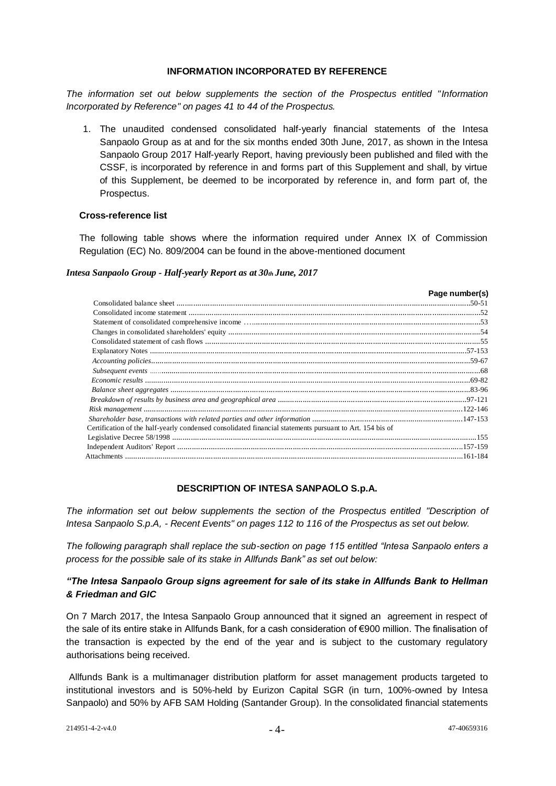#### **INFORMATION INCORPORATED BY REFERENCE**

*The information set out below supplements the section of the Prospectus entitled "Information Incorporated by Reference" on pages 41 to 44 of the Prospectus.*

1. The unaudited condensed consolidated half-yearly financial statements of the Intesa Sanpaolo Group as at and for the six months ended 30th June, 2017, as shown in the Intesa Sanpaolo Group 2017 Half-yearly Report, having previously been published and filed with the CSSF, is incorporated by reference in and forms part of this Supplement and shall, by virtue of this Supplement, be deemed to be incorporated by reference in, and form part of, the Prospectus.

#### **Cross-reference list**

The following table shows where the information required under Annex IX of Commission Regulation (EC) No. 809/2004 can be found in the above-mentioned document

#### *Intesa Sanpaolo Group - Half-yearly Report as at 30th June, 2017*

|                                                                                                          | Page number(s) |
|----------------------------------------------------------------------------------------------------------|----------------|
|                                                                                                          |                |
|                                                                                                          |                |
|                                                                                                          |                |
|                                                                                                          |                |
|                                                                                                          |                |
|                                                                                                          |                |
|                                                                                                          |                |
|                                                                                                          |                |
|                                                                                                          |                |
|                                                                                                          |                |
|                                                                                                          |                |
|                                                                                                          |                |
|                                                                                                          |                |
| Certification of the half-yearly condensed consolidated financial statements pursuant to Art. 154 bis of |                |
|                                                                                                          |                |
|                                                                                                          |                |
|                                                                                                          |                |

# **DESCRIPTION OF INTESA SANPAOLO S.p.A.**

*The information set out below supplements the section of the Prospectus entitled "Description of Intesa Sanpaolo S.p.A, - Recent Events" on pages 112 to 116 of the Prospectus as set out below.*

*The following paragraph shall replace the sub-section on page 115 entitled "Intesa Sanpaolo enters a process for the possible sale of its stake in Allfunds Bank" as set out below:*

# *"The Intesa Sanpaolo Group signs agreement for sale of its stake in Allfunds Bank to Hellman & Friedman and GIC*

On 7 March 2017, the Intesa Sanpaolo Group announced that it signed an agreement in respect of the sale of its entire stake in Allfunds Bank, for a cash consideration of €900 million. The finalisation of the transaction is expected by the end of the year and is subject to the customary regulatory authorisations being received.

Allfunds Bank is a multimanager distribution platform for asset management products targeted to institutional investors and is 50%-held by Eurizon Capital SGR (in turn, 100%-owned by Intesa Sanpaolo) and 50% by AFB SAM Holding (Santander Group). In the consolidated financial statements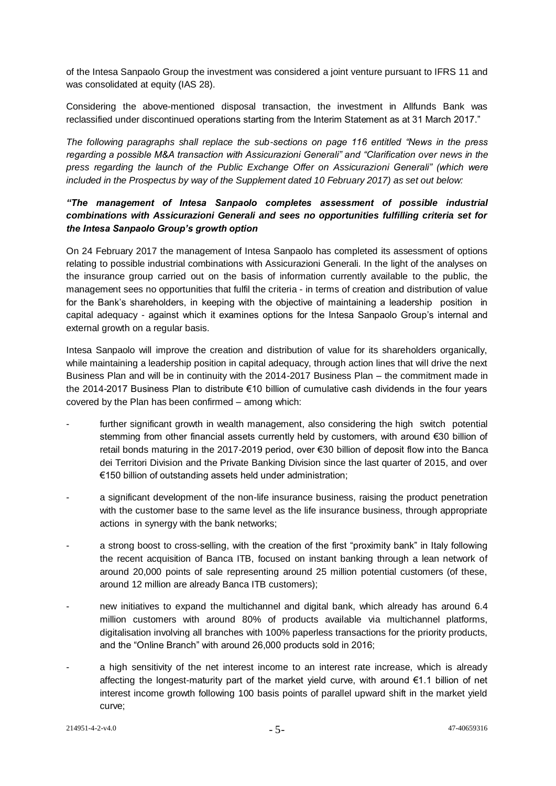of the Intesa Sanpaolo Group the investment was considered a joint venture pursuant to IFRS 11 and was consolidated at equity (IAS 28).

Considering the above-mentioned disposal transaction, the investment in Allfunds Bank was reclassified under discontinued operations starting from the Interim Statement as at 31 March 2017."

*The following paragraphs shall replace the sub-sections on page 116 entitled "News in the press regarding a possible M&A transaction with Assicurazioni Generali" and "Clarification over news in the press regarding the launch of the Public Exchange Offer on Assicurazioni Generali" (which were included in the Prospectus by way of the Supplement dated 10 February 2017) as set out below:*

# *"The management of Intesa Sanpaolo completes assessment of possible industrial combinations with Assicurazioni Generali and sees no opportunities fulfilling criteria set for the Intesa Sanpaolo Group's growth option*

On 24 February 2017 the management of Intesa Sanpaolo has completed its assessment of options relating to possible industrial combinations with Assicurazioni Generali. In the light of the analyses on the insurance group carried out on the basis of information currently available to the public, the management sees no opportunities that fulfil the criteria - in terms of creation and distribution of value for the Bank's shareholders, in keeping with the objective of maintaining a leadership position in capital adequacy - against which it examines options for the Intesa Sanpaolo Group's internal and external growth on a regular basis.

Intesa Sanpaolo will improve the creation and distribution of value for its shareholders organically, while maintaining a leadership position in capital adequacy, through action lines that will drive the next Business Plan and will be in continuity with the 2014-2017 Business Plan – the commitment made in the 2014-2017 Business Plan to distribute €10 billion of cumulative cash dividends in the four years covered by the Plan has been confirmed – among which:

- further significant growth in wealth management, also considering the high switch potential stemming from other financial assets currently held by customers, with around €30 billion of retail bonds maturing in the 2017-2019 period, over €30 billion of deposit flow into the Banca dei Territori Division and the Private Banking Division since the last quarter of 2015, and over €150 billion of outstanding assets held under administration;
- a significant development of the non-life insurance business, raising the product penetration with the customer base to the same level as the life insurance business, through appropriate actions in synergy with the bank networks;
- a strong boost to cross-selling, with the creation of the first "proximity bank" in Italy following the recent acquisition of Banca ITB, focused on instant banking through a lean network of around 20,000 points of sale representing around 25 million potential customers (of these, around 12 million are already Banca ITB customers);
- new initiatives to expand the multichannel and digital bank, which already has around 6.4 million customers with around 80% of products available via multichannel platforms, digitalisation involving all branches with 100% paperless transactions for the priority products, and the "Online Branch" with around 26,000 products sold in 2016;
- a high sensitivity of the net interest income to an interest rate increase, which is already affecting the longest-maturity part of the market yield curve, with around €1.1 billion of net interest income growth following 100 basis points of parallel upward shift in the market yield curve;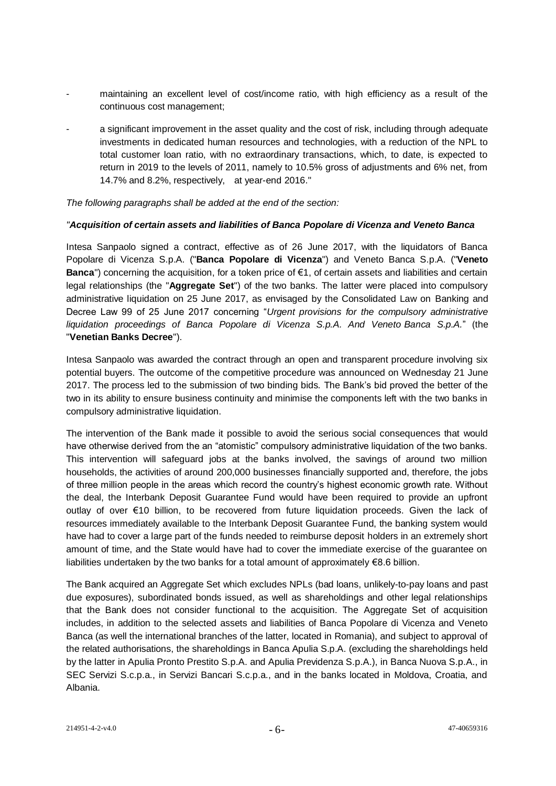- maintaining an excellent level of cost/income ratio, with high efficiency as a result of the continuous cost management;
- a significant improvement in the asset quality and the cost of risk, including through adequate investments in dedicated human resources and technologies, with a reduction of the NPL to total customer loan ratio, with no extraordinary transactions, which, to date, is expected to return in 2019 to the levels of 2011, namely to 10.5% gross of adjustments and 6% net, from 14.7% and 8.2%, respectively, at year-end 2016."

*The following paragraphs shall be added at the end of the section:*

#### *"Acquisition of certain assets and liabilities of Banca Popolare di Vicenza and Veneto Banca*

Intesa Sanpaolo signed a contract, effective as of 26 June 2017, with the liquidators of Banca Popolare di Vicenza S.p.A. ("**Banca Popolare di Vicenza**") and Veneto Banca S.p.A. ("**Veneto Banca**") concerning the acquisition, for a token price of €1, of certain assets and liabilities and certain legal relationships (the "**Aggregate Set**") of the two banks. The latter were placed into compulsory administrative liquidation on 25 June 2017, as envisaged by the Consolidated Law on Banking and Decree Law 99 of 25 June 2017 concerning "*Urgent provisions for the compulsory administrative liquidation proceedings of Banca Popolare di Vicenza S.p.A. And Veneto Banca S.p.A.*" (the "**Venetian Banks Decree**").

Intesa Sanpaolo was awarded the contract through an open and transparent procedure involving six potential buyers. The outcome of the competitive procedure was announced on Wednesday 21 June 2017. The process led to the submission of two binding bids. The Bank's bid proved the better of the two in its ability to ensure business continuity and minimise the components left with the two banks in compulsory administrative liquidation.

The intervention of the Bank made it possible to avoid the serious social consequences that would have otherwise derived from the an "atomistic" compulsory administrative liquidation of the two banks. This intervention will safeguard jobs at the banks involved, the savings of around two million households, the activities of around 200,000 businesses financially supported and, therefore, the jobs of three million people in the areas which record the country's highest economic growth rate. Without the deal, the Interbank Deposit Guarantee Fund would have been required to provide an upfront outlay of over €10 billion, to be recovered from future liquidation proceeds. Given the lack of resources immediately available to the Interbank Deposit Guarantee Fund, the banking system would have had to cover a large part of the funds needed to reimburse deposit holders in an extremely short amount of time, and the State would have had to cover the immediate exercise of the guarantee on liabilities undertaken by the two banks for a total amount of approximately  $\epsilon$ 8.6 billion.

The Bank acquired an Aggregate Set which excludes NPLs (bad loans, unlikely-to-pay loans and past due exposures), subordinated bonds issued, as well as shareholdings and other legal relationships that the Bank does not consider functional to the acquisition. The Aggregate Set of acquisition includes, in addition to the selected assets and liabilities of Banca Popolare di Vicenza and Veneto Banca (as well the international branches of the latter, located in Romania), and subject to approval of the related authorisations, the shareholdings in Banca Apulia S.p.A. (excluding the shareholdings held by the latter in Apulia Pronto Prestito S.p.A. and Apulia Previdenza S.p.A.), in Banca Nuova S.p.A., in SEC Servizi S.c.p.a., in Servizi Bancari S.c.p.a., and in the banks located in Moldova, Croatia, and Albania.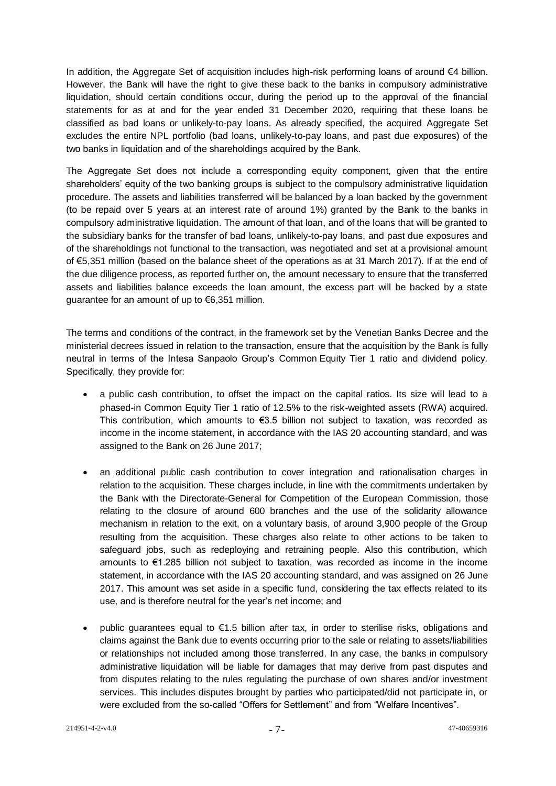In addition, the Aggregate Set of acquisition includes high-risk performing loans of around €4 billion. However, the Bank will have the right to give these back to the banks in compulsory administrative liquidation, should certain conditions occur, during the period up to the approval of the financial statements for as at and for the year ended 31 December 2020, requiring that these loans be classified as bad loans or unlikely-to-pay loans. As already specified, the acquired Aggregate Set excludes the entire NPL portfolio (bad loans, unlikely-to-pay loans, and past due exposures) of the two banks in liquidation and of the shareholdings acquired by the Bank.

The Aggregate Set does not include a corresponding equity component, given that the entire shareholders' equity of the two banking groups is subject to the compulsory administrative liquidation procedure. The assets and liabilities transferred will be balanced by a loan backed by the government (to be repaid over 5 years at an interest rate of around 1%) granted by the Bank to the banks in compulsory administrative liquidation. The amount of that loan, and of the loans that will be granted to the subsidiary banks for the transfer of bad loans, unlikely-to-pay loans, and past due exposures and of the shareholdings not functional to the transaction, was negotiated and set at a provisional amount of €5,351 million (based on the balance sheet of the operations as at 31 March 2017). If at the end of the due diligence process, as reported further on, the amount necessary to ensure that the transferred assets and liabilities balance exceeds the loan amount, the excess part will be backed by a state guarantee for an amount of up to €6,351 million.

The terms and conditions of the contract, in the framework set by the Venetian Banks Decree and the ministerial decrees issued in relation to the transaction, ensure that the acquisition by the Bank is fully neutral in terms of the Intesa Sanpaolo Group's Common Equity Tier 1 ratio and dividend policy. Specifically, they provide for:

- a public cash contribution, to offset the impact on the capital ratios. Its size will lead to a phased-in Common Equity Tier 1 ratio of 12.5% to the risk-weighted assets (RWA) acquired. This contribution, which amounts to  $€3.5$  billion not subject to taxation, was recorded as income in the income statement, in accordance with the IAS 20 accounting standard, and was assigned to the Bank on 26 June 2017;
- an additional public cash contribution to cover integration and rationalisation charges in relation to the acquisition. These charges include, in line with the commitments undertaken by the Bank with the Directorate-General for Competition of the European Commission, those relating to the closure of around 600 branches and the use of the solidarity allowance mechanism in relation to the exit, on a voluntary basis, of around 3,900 people of the Group resulting from the acquisition. These charges also relate to other actions to be taken to safeguard jobs, such as redeploying and retraining people. Also this contribution, which amounts to €1.285 billion not subject to taxation, was recorded as income in the income statement, in accordance with the IAS 20 accounting standard, and was assigned on 26 June 2017. This amount was set aside in a specific fund, considering the tax effects related to its use, and is therefore neutral for the year's net income; and
- public guarantees equal to €1.5 billion after tax, in order to sterilise risks, obligations and claims against the Bank due to events occurring prior to the sale or relating to assets/liabilities or relationships not included among those transferred. In any case, the banks in compulsory administrative liquidation will be liable for damages that may derive from past disputes and from disputes relating to the rules regulating the purchase of own shares and/or investment services. This includes disputes brought by parties who participated/did not participate in, or were excluded from the so-called "Offers for Settlement" and from "Welfare Incentives".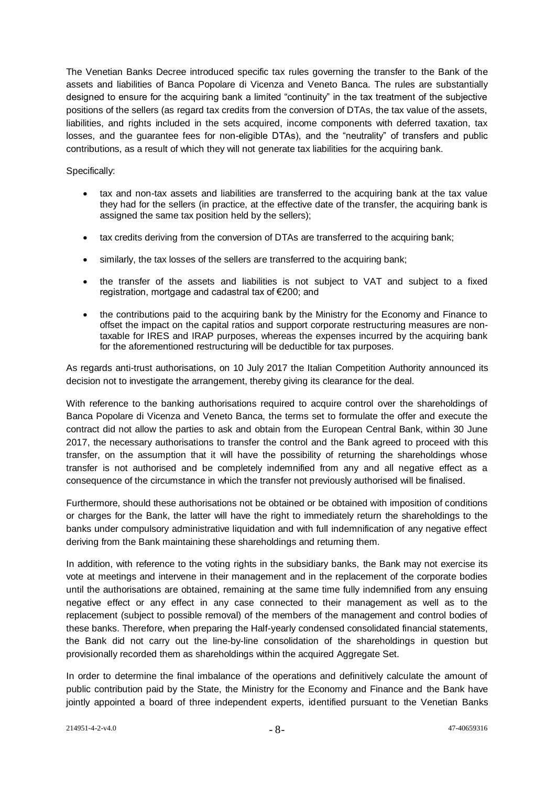The Venetian Banks Decree introduced specific tax rules governing the transfer to the Bank of the assets and liabilities of Banca Popolare di Vicenza and Veneto Banca. The rules are substantially designed to ensure for the acquiring bank a limited "continuity" in the tax treatment of the subjective positions of the sellers (as regard tax credits from the conversion of DTAs, the tax value of the assets, liabilities, and rights included in the sets acquired, income components with deferred taxation, tax losses, and the guarantee fees for non-eligible DTAs), and the "neutrality" of transfers and public contributions, as a result of which they will not generate tax liabilities for the acquiring bank.

# Specifically:

- tax and non-tax assets and liabilities are transferred to the acquiring bank at the tax value they had for the sellers (in practice, at the effective date of the transfer, the acquiring bank is assigned the same tax position held by the sellers);
- tax credits deriving from the conversion of DTAs are transferred to the acquiring bank;
- similarly, the tax losses of the sellers are transferred to the acquiring bank;
- the transfer of the assets and liabilities is not subject to VAT and subject to a fixed registration, mortgage and cadastral tax of €200; and
- the contributions paid to the acquiring bank by the Ministry for the Economy and Finance to offset the impact on the capital ratios and support corporate restructuring measures are nontaxable for IRES and IRAP purposes, whereas the expenses incurred by the acquiring bank for the aforementioned restructuring will be deductible for tax purposes.

As regards anti-trust authorisations, on 10 July 2017 the Italian Competition Authority announced its decision not to investigate the arrangement, thereby giving its clearance for the deal.

With reference to the banking authorisations required to acquire control over the shareholdings of Banca Popolare di Vicenza and Veneto Banca, the terms set to formulate the offer and execute the contract did not allow the parties to ask and obtain from the European Central Bank, within 30 June 2017, the necessary authorisations to transfer the control and the Bank agreed to proceed with this transfer, on the assumption that it will have the possibility of returning the shareholdings whose transfer is not authorised and be completely indemnified from any and all negative effect as a consequence of the circumstance in which the transfer not previously authorised will be finalised.

Furthermore, should these authorisations not be obtained or be obtained with imposition of conditions or charges for the Bank, the latter will have the right to immediately return the shareholdings to the banks under compulsory administrative liquidation and with full indemnification of any negative effect deriving from the Bank maintaining these shareholdings and returning them.

In addition, with reference to the voting rights in the subsidiary banks, the Bank may not exercise its vote at meetings and intervene in their management and in the replacement of the corporate bodies until the authorisations are obtained, remaining at the same time fully indemnified from any ensuing negative effect or any effect in any case connected to their management as well as to the replacement (subject to possible removal) of the members of the management and control bodies of these banks. Therefore, when preparing the Half-yearly condensed consolidated financial statements, the Bank did not carry out the line-by-line consolidation of the shareholdings in question but provisionally recorded them as shareholdings within the acquired Aggregate Set.

In order to determine the final imbalance of the operations and definitively calculate the amount of public contribution paid by the State, the Ministry for the Economy and Finance and the Bank have jointly appointed a board of three independent experts, identified pursuant to the Venetian Banks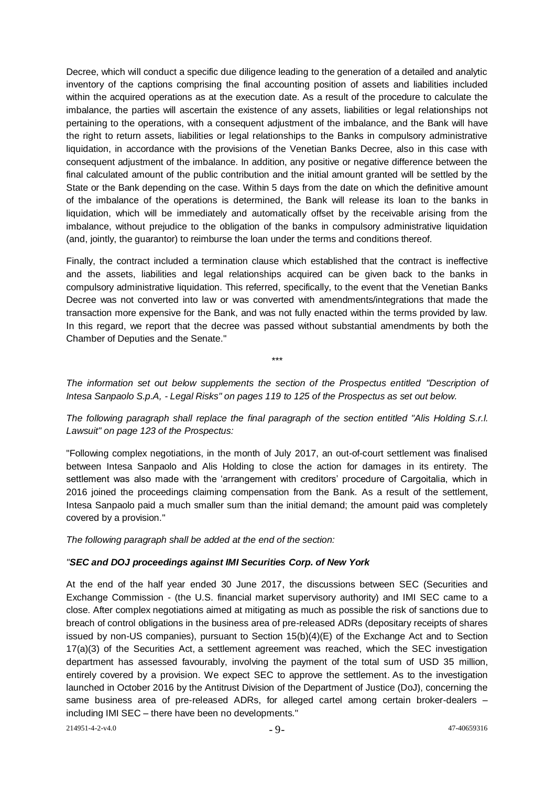Decree, which will conduct a specific due diligence leading to the generation of a detailed and analytic inventory of the captions comprising the final accounting position of assets and liabilities included within the acquired operations as at the execution date. As a result of the procedure to calculate the imbalance, the parties will ascertain the existence of any assets, liabilities or legal relationships not pertaining to the operations, with a consequent adjustment of the imbalance, and the Bank will have the right to return assets, liabilities or legal relationships to the Banks in compulsory administrative liquidation, in accordance with the provisions of the Venetian Banks Decree, also in this case with consequent adjustment of the imbalance. In addition, any positive or negative difference between the final calculated amount of the public contribution and the initial amount granted will be settled by the State or the Bank depending on the case. Within 5 days from the date on which the definitive amount of the imbalance of the operations is determined, the Bank will release its loan to the banks in liquidation, which will be immediately and automatically offset by the receivable arising from the imbalance, without prejudice to the obligation of the banks in compulsory administrative liquidation (and, jointly, the guarantor) to reimburse the loan under the terms and conditions thereof.

Finally, the contract included a termination clause which established that the contract is ineffective and the assets, liabilities and legal relationships acquired can be given back to the banks in compulsory administrative liquidation. This referred, specifically, to the event that the Venetian Banks Decree was not converted into law or was converted with amendments/integrations that made the transaction more expensive for the Bank, and was not fully enacted within the terms provided by law. In this regard, we report that the decree was passed without substantial amendments by both the Chamber of Deputies and the Senate."

*The information set out below supplements the section of the Prospectus entitled "Description of Intesa Sanpaolo S.p.A, - Legal Risks" on pages 119 to 125 of the Prospectus as set out below.*

\*\*\*

# *The following paragraph shall replace the final paragraph of the section entitled "Alis Holding S.r.l. Lawsuit" on page 123 of the Prospectus:*

"Following complex negotiations, in the month of July 2017, an out-of-court settlement was finalised between Intesa Sanpaolo and Alis Holding to close the action for damages in its entirety. The settlement was also made with the 'arrangement with creditors' procedure of Cargoitalia, which in 2016 joined the proceedings claiming compensation from the Bank. As a result of the settlement, Intesa Sanpaolo paid a much smaller sum than the initial demand; the amount paid was completely covered by a provision."

*The following paragraph shall be added at the end of the section:*

# *"SEC and DOJ proceedings against IMI Securities Corp. of New York*

At the end of the half year ended 30 June 2017, the discussions between SEC (Securities and Exchange Commission - (the U.S. financial market supervisory authority) and IMI SEC came to a close. After complex negotiations aimed at mitigating as much as possible the risk of sanctions due to breach of control obligations in the business area of pre-released ADRs (depositary receipts of shares issued by non-US companies), pursuant to Section 15(b)(4)(E) of the Exchange Act and to Section 17(a)(3) of the Securities Act, a settlement agreement was reached, which the SEC investigation department has assessed favourably, involving the payment of the total sum of USD 35 million, entirely covered by a provision. We expect SEC to approve the settlement. As to the investigation launched in October 2016 by the Antitrust Division of the Department of Justice (DoJ), concerning the same business area of pre-released ADRs, for alleged cartel among certain broker-dealers – including IMI SEC – there have been no developments."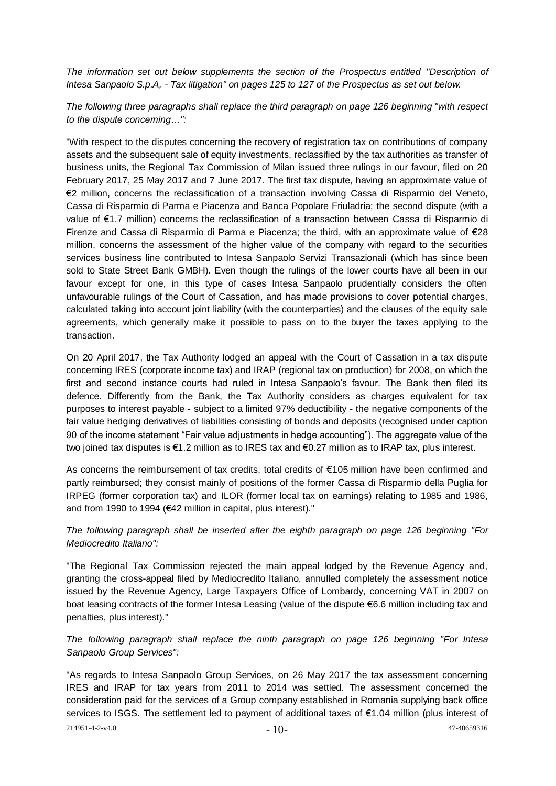*The information set out below supplements the section of the Prospectus entitled "Description of Intesa Sanpaolo S.p.A, - Tax litigation" on pages 125 to 127 of the Prospectus as set out below.*

*The following three paragraphs shall replace the third paragraph on page 126 beginning "with respect to the dispute concerning…":*

"With respect to the disputes concerning the recovery of registration tax on contributions of company assets and the subsequent sale of equity investments, reclassified by the tax authorities as transfer of business units, the Regional Tax Commission of Milan issued three rulings in our favour, filed on 20 February 2017, 25 May 2017 and 7 June 2017. The first tax dispute, having an approximate value of €2 million, concerns the reclassification of a transaction involving Cassa di Risparmio del Veneto, Cassa di Risparmio di Parma e Piacenza and Banca Popolare Friuladria; the second dispute (with a value of €1.7 million) concerns the reclassification of a transaction between Cassa di Risparmio di Firenze and Cassa di Risparmio di Parma e Piacenza; the third, with an approximate value of €28 million, concerns the assessment of the higher value of the company with regard to the securities services business line contributed to Intesa Sanpaolo Servizi Transazionali (which has since been sold to State Street Bank GMBH). Even though the rulings of the lower courts have all been in our favour except for one, in this type of cases Intesa Sanpaolo prudentially considers the often unfavourable rulings of the Court of Cassation, and has made provisions to cover potential charges, calculated taking into account joint liability (with the counterparties) and the clauses of the equity sale agreements, which generally make it possible to pass on to the buyer the taxes applying to the transaction.

On 20 April 2017, the Tax Authority lodged an appeal with the Court of Cassation in a tax dispute concerning IRES (corporate income tax) and IRAP (regional tax on production) for 2008, on which the first and second instance courts had ruled in Intesa Sanpaolo's favour. The Bank then filed its defence. Differently from the Bank, the Tax Authority considers as charges equivalent for tax purposes to interest payable - subject to a limited 97% deductibility - the negative components of the fair value hedging derivatives of liabilities consisting of bonds and deposits (recognised under caption 90 of the income statement "Fair value adjustments in hedge accounting"). The aggregate value of the two joined tax disputes is €1.2 million as to IRES tax and €0.27 million as to IRAP tax, plus interest.

As concerns the reimbursement of tax credits, total credits of €105 million have been confirmed and partly reimbursed; they consist mainly of positions of the former Cassa di Risparmio della Puglia for IRPEG (former corporation tax) and ILOR (former local tax on earnings) relating to 1985 and 1986, and from 1990 to 1994 (€42 million in capital, plus interest)."

# *The following paragraph shall be inserted after the eighth paragraph on page 126 beginning "For Mediocredito Italiano":*

"The Regional Tax Commission rejected the main appeal lodged by the Revenue Agency and, granting the cross-appeal filed by Mediocredito Italiano, annulled completely the assessment notice issued by the Revenue Agency, Large Taxpayers Office of Lombardy, concerning VAT in 2007 on boat leasing contracts of the former Intesa Leasing (value of the dispute €6.6 million including tax and penalties, plus interest)."

*The following paragraph shall replace the ninth paragraph on page 126 beginning "For Intesa Sanpaolo Group Services":*

"As regards to Intesa Sanpaolo Group Services, on 26 May 2017 the tax assessment concerning IRES and IRAP for tax years from 2011 to 2014 was settled. The assessment concerned the consideration paid for the services of a Group company established in Romania supplying back office services to ISGS. The settlement led to payment of additional taxes of €1.04 million (plus interest of